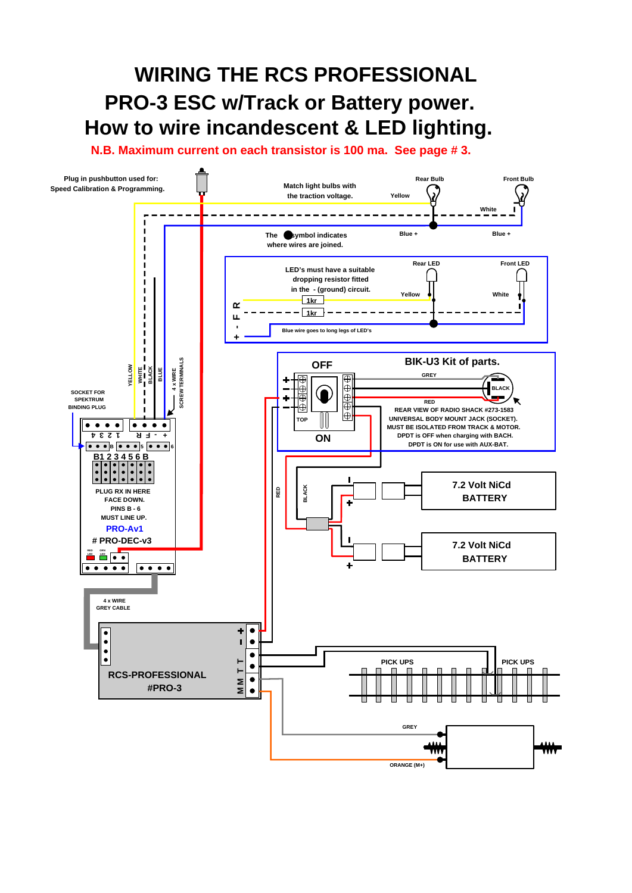## *WIRING THE RCS PROFESSIONAL PRO-3 ESC w/Track or Battery power. How to wire incandescent & LED lighting.*

*N.B. Maximum current on each transistor is 100 ma. See page # 3.*